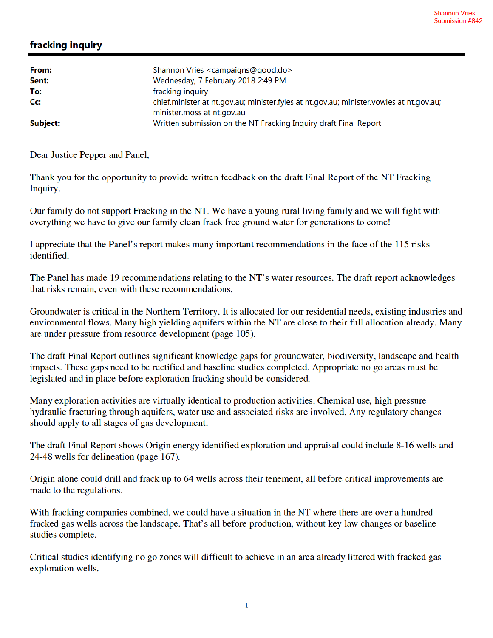## fracking inquiry

| From:<br>Sent: | Shannon Vries <campaigns@good.do><br/>Wednesday, 7 February 2018 2:49 PM</campaigns@good.do>                                              |
|----------------|-------------------------------------------------------------------------------------------------------------------------------------------|
| To:<br>Cc:     | fracking inquiry<br>chief.minister at nt.gov.au; minister.fyles at nt.gov.au; minister.vowles at nt.gov.au;<br>minister.moss at nt.gov.au |
| Subject:       | Written submission on the NT Fracking Inquiry draft Final Report                                                                          |

Dear Justice Pepper and Panel,

Thank you for the opportunity to provide written feedback on the draft Final Report of the NT Fracking Inquiry.

Our family do not support Fracking in the NT. We have a young rural living family and we will fight with everything we have to give our family clean frack free ground water for generations to come!

I appreciate that the Panel's report makes many important recommendations in the face of the 115 risks identified.

The Panel has made 19 recommendations relating to the NT's water resources. The draft report acknowledges that risks remain, even with these recommendations.

Groundwater is critical in the Northern Territory. It is allocated for our residential needs, existing industries and environmental flows. Many high yielding aquifers within the NT are close to their full allocation already. Many are under pressure from resource development (page 105).

The draft Final Report outlines significant knowledge gaps for groundwater, biodiversity, landscape and health impacts. These gaps need to be rectified and baseline studies completed. Appropriate no go areas must be legislated and in place before exploration fracking should be considered.

Many exploration activities are virtually identical to production activities. Chemical use, high pressure hydraulic fracturing through aquifers, water use and associated risks are involved. Any regulatory changes should apply to all stages of gas development.

The draft Final Report shows Origin energy identified exploration and appraisal could include 8-16 wells and 24-48 wells for delineation (page 167).

Origin alone could drill and frack up to 64 wells across their tenement, all before critical improvements are made to the regulations.

With fracking companies combined, we could have a situation in the NT where there are over a hundred fracked gas wells across the landscape. That's all before production, without key law changes or baseline studies complete.

Critical studies identifying no go zones will difficult to achieve in an area already littered with fracked gas exploration wells.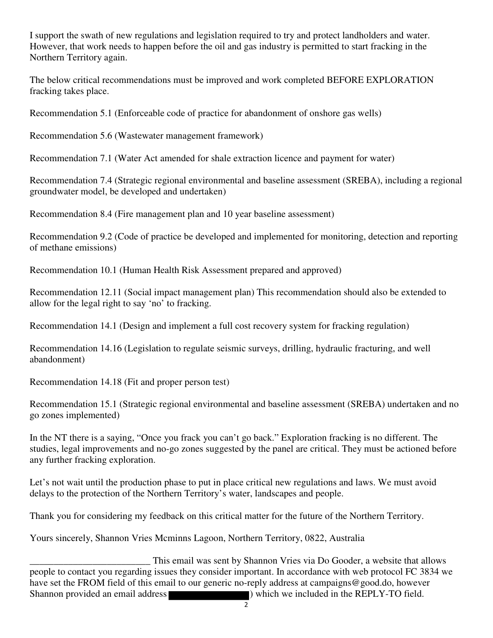I support the swath of new regulations and legislation required to try and protect landholders and water. However, that work needs to happen before the oil and gas industry is permitted to start fracking in the Northern Territory again.

The below critical recommendations must be improved and work completed BEFORE EXPLORATION fracking takes place.

Recommendation 5.1 (Enforceable code of practice for abandonment of onshore gas wells)

Recommendation 5.6 (Wastewater management framework)

Recommendation 7.1 (Water Act amended for shale extraction licence and payment for water)

Recommendation 7.4 (Strategic regional environmental and baseline assessment (SREBA), including a regional groundwater model, be developed and undertaken)

Recommendation 8.4 (Fire management plan and 10 year baseline assessment)

Recommendation 9.2 (Code of practice be developed and implemented for monitoring, detection and reporting of methane emissions)

Recommendation 10.1 (Human Health Risk Assessment prepared and approved)

Recommendation 12.11 (Social impact management plan) This recommendation should also be extended to allow for the legal right to say 'no' to fracking.

Recommendation 14.1 (Design and implement a full cost recovery system for fracking regulation)

Recommendation 14.16 (Legislation to regulate seismic surveys, drilling, hydraulic fracturing, and well abandonment)

Recommendation 14.18 (Fit and proper person test)

Recommendation 15.1 (Strategic regional environmental and baseline assessment (SREBA) undertaken and no go zones implemented)

In the NT there is a saying, "Once you frack you can't go back." Exploration fracking is no different. The studies, legal improvements and no-go zones suggested by the panel are critical. They must be actioned before any further fracking exploration.

Let's not wait until the production phase to put in place critical new regulations and laws. We must avoid delays to the protection of the Northern Territory's water, landscapes and people.

Thank you for considering my feedback on this critical matter for the future of the Northern Territory.

Yours sincerely, Shannon Vries Mcminns Lagoon, Northern Territory, 0822, Australia

This email was sent by Shannon Vries via Do Gooder, a website that allows<br>people to contact you regarding issues they consider important. In accordance with web protocol FC 3834 we have set the FROM field of this email to our generic no-reply address at campaigns@good.do, however Shannon provided an email address (Shannon provided an email address ) which we included in the REPLY-TO field.